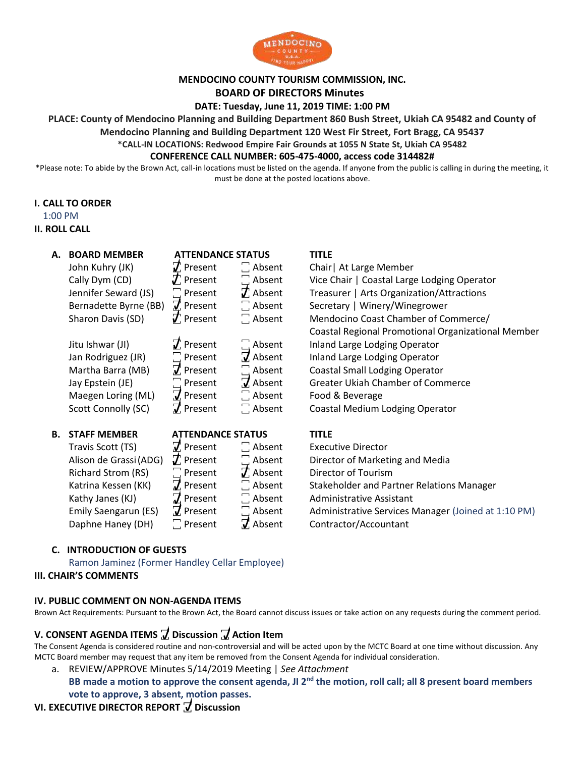

### **MENDOCINO COUNTY TOURISM COMMISSION, INC.**

#### **BOARD OF DIRECTORS Minutes**

**DATE: Tuesday, June 11, 2019 TIME: 1:00 PM**

**PLACE: County of Mendocino Planning and Building Department 860 Bush Street, Ukiah CA 95482 and County of** 

**Mendocino Planning and Building Department 120 West Fir Street, Fort Bragg, CA 95437** 

**\*CALL-IN LOCATIONS: Redwood Empire Fair Grounds at 1055 N State St, Ukiah CA 95482**

#### **CONFERENCE CALL NUMBER: 605-475-4000, access code 314482#**

\*Please note: To abide by the Brown Act, call-in locations must be listed on the agenda. If anyone from the public is calling in during the meeting, it must be done at the posted locations above.

#### **I. CALL TO ORDER**

1:00 PM

#### **II. ROLL CALL**

| А. | <b>BOARD MEMBER</b><br>John Kuhry (JK)<br>Cally Dym (CD)<br>Jennifer Seward (JS)<br>Bernadette Byrne (BB)<br>Sharon Davis (SD)<br>Jitu Ishwar (JI)<br>Jan Rodriguez (JR)<br>Martha Barra (MB) | <b>ATTENDANCE STATUS</b><br>$\boldsymbol{\mathcal{J}}$ Present<br>$J$ . Present<br>$\Box$ Present<br>$\vec{J}$ Present<br>$\vec{J}$ Present<br>$\vec{J}$ Present<br>$\Box$ Present<br>$\tau$ Present | $\Box$ Absent<br>$\Box$ Absent<br>$\tau$ Absent<br>$\Box$ Absent<br>$\Box$ Absent<br>$\Box$ Absent<br>$\overline{J}$ Absent<br>$\Box$ Absent | <b>TITLE</b><br>Chair   At Large Member<br>Vice Chair   Coastal Large Lodging Operator<br>Treasurer   Arts Organization/Attractions<br>Secretary   Winery/Winegrower<br>Mendocino Coast Chamber of Commerce/<br>Coastal Regional Promotional Organizational Member<br>Inland Large Lodging Operator<br>Inland Large Lodging Operator<br><b>Coastal Small Lodging Operator</b> |
|----|-----------------------------------------------------------------------------------------------------------------------------------------------------------------------------------------------|------------------------------------------------------------------------------------------------------------------------------------------------------------------------------------------------------|----------------------------------------------------------------------------------------------------------------------------------------------|-------------------------------------------------------------------------------------------------------------------------------------------------------------------------------------------------------------------------------------------------------------------------------------------------------------------------------------------------------------------------------|
|    | Jay Epstein (JE)                                                                                                                                                                              | $\Box$ Present                                                                                                                                                                                       | $\overline{J}$ Absent                                                                                                                        | <b>Greater Ukiah Chamber of Commerce</b>                                                                                                                                                                                                                                                                                                                                      |
|    | Maegen Loring (ML)                                                                                                                                                                            | $\vec{J}$ Present                                                                                                                                                                                    | $\Box$ Absent                                                                                                                                | Food & Beverage                                                                                                                                                                                                                                                                                                                                                               |
|    | Scott Connolly (SC)                                                                                                                                                                           | $\vec{J}$ . Present                                                                                                                                                                                  | $\Box$ Absent                                                                                                                                | Coastal Medium Lodging Operator                                                                                                                                                                                                                                                                                                                                               |
| В. | <b>STAFF MEMBER</b>                                                                                                                                                                           | <b>ATTENDANCE STATUS</b>                                                                                                                                                                             |                                                                                                                                              | <b>TITLE</b>                                                                                                                                                                                                                                                                                                                                                                  |
|    | Travis Scott (TS)                                                                                                                                                                             | $\vec{J}$ Present                                                                                                                                                                                    | $\Box$ Absent                                                                                                                                | <b>Executive Director</b>                                                                                                                                                                                                                                                                                                                                                     |
|    | Alison de Grassi (ADG)                                                                                                                                                                        | $T$ Present                                                                                                                                                                                          | $\Box$ Absent                                                                                                                                | Director of Marketing and Media                                                                                                                                                                                                                                                                                                                                               |

Richard Strom (RS)  $\Box$  Present  $\Box$  Absent Director of Tourism Katrina Kessen (KK)  $\vec{J}$ , Present  $\vec{a}$  Absent Stakeholder and Partner Relations Manager Kathy Janes (KJ)  $\vec{J}$  Present  $\vec{a}$  Absent Administrative Assistant Emily Saengarun (ES)  $\vec{J}$ , Present  $\vec{a}$  Absent Administrative Services Manager (Joined at 1:10 PM)

| Travis Scott (TS)      | $\vec{J}$ Present      | $\Box$ Absent    | <b>Executive Director</b>      |
|------------------------|------------------------|------------------|--------------------------------|
| Alison de Grassi (ADG) | $\vec{J}$ . Present    | $\Box$ Absent    | Director of Marketing a        |
| Richard Strom (RS)     | $\Box$ Present         | $J$ Absent       | Director of Tourism            |
| Katrina Kessen (KK)    | $\vec{J}$ Present      | $\Box$ Absent    | <b>Stakeholder and Partne</b>  |
| Kathy Janes (KJ)       | $7$ Present            | $\Box$ Absent    | Administrative Assistant       |
| Emily Saengarun (ES)   | $\overline{J}$ Present | $\Box$ Absent    | <b>Administrative Services</b> |
| Daphne Haney (DH)      | $\Box$ Present         | $\vec{J}$ Absent | Contractor/Accountant          |

### **C. INTRODUCTION OF GUESTS**

Ramon Jaminez (Former Handley Cellar Employee)

#### **III. CHAIR'S COMMENTS**

#### **IV. PUBLIC COMMENT ON NON-AGENDA ITEMS**

Brown Act Requirements: Pursuant to the Brown Act, the Board cannot discuss issues or take action on any requests during the comment period.

### **V. CONSENT AGENDA ITEMS ꙱ Discussion ꙱ Action Item**

The Consent Agenda is considered routine and non-controversial and will be acted upon by the MCTC Board at one time without discussion. Any MCTC Board member may request that any item be removed from the Consent Agenda for individual consideration.

a. REVIEW/APPROVE Minutes 5/14/2019 Meeting | *See Attachment*

**BB made a motion to approve the consent agenda, JI 2nd the motion, roll call; all 8 present board members vote to approve, 3 absent, motion passes.**

## **VI. EXECUTIVE DIRECTOR REPORT**  $\vec{v}$  **Discussion**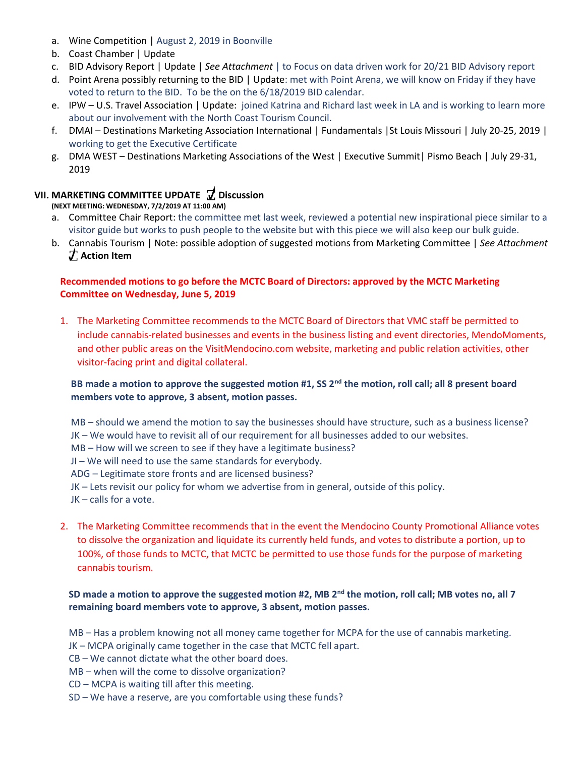- a. Wine Competition | August 2, 2019 in Boonville
- b. Coast Chamber | Update
- c. BID Advisory Report | Update | *See Attachment* | to Focus on data driven work for 20/21 BID Advisory report
- d. Point Arena possibly returning to the BID | Update: met with Point Arena, we will know on Friday if they have voted to return to the BID. To be the on the 6/18/2019 BID calendar.
- e. IPW U.S. Travel Association | Update: joined Katrina and Richard last week in LA and is working to learn more about our involvement with the North Coast Tourism Council.
- f. DMAI Destinations Marketing Association International | Fundamentals |St Louis Missouri | July 20-25, 2019 | working to get the Executive Certificate
- g. DMA WEST Destinations Marketing Associations of the West | Executive Summit| Pismo Beach | July 29-31, 2019

## **VII. MARKETING COMMITTEE UPDATE ꙱ Discussion**

**(NEXT MEETING: WEDNESDAY, 7/2/2019 AT 11:00 AM)** 

- a. Committee Chair Report: the committee met last week, reviewed a potential new inspirational piece similar to a visitor guide but works to push people to the website but with this piece we will also keep our bulk guide.
- b. Cannabis Tourism | Note: possible adoption of suggested motions from Marketing Committee | *See Attachment* **꙱ Action Item ꙱**

# **Recommended motions to go before the MCTC Board of Directors: approved by the MCTC Marketing D Committee on Wednesday, June 5, 2019 i**

1. The Marketing Committee recommends to the MCTC Board of Directors that VMC staff be permitted to **c** include cannabis-related businesses and events in the business listing and event directories, MendoMoments, **u** and other public areas on the VisitMendocino.com website, marketing and public relation activities, other **s** visitor-facing print and digital collateral. **s**

# **BB made a motion to approve the suggested motion #1, SS 2nd the motion, roll call; all 8 present board o members vote to approve, 3 absent, motion passes. n**

MB – should we amend the motion to say the businesses should have structure, such as a business license? JK – We would have to revisit all of our requirement for all businesses added to our websites. MB – How will we screen to see if they have a legitimate business? **o** JI – We will need to use the same standards for everybody. **s** ADG – Legitimate store fronts and are licensed business? **s** JK – Lets revisit our policy for whom we advertise from in general, outside of this policy. **i** JK – calls for a vote. **b ∴ P**

2. The Marketing Committee recommends that in the event the Mendocino County Promotional Alliance votes to dissolve the organization and liquidate its currently held funds, and votes to distribute a portion, up to **A** 100%, of those funds to MCTC, that MCTC be permitted to use those funds for the purpose of marketing **c** cannabis tourism. **t**

### **SD made a motion to approve the suggested motion #2, MB 2nd the motion, roll call; MB votes no, all 7 o remaining board members vote to approve, 3 absent, motion passes. n**

MB – Has a problem knowing not all money came together for MCPA for the use of cannabis marketing.

JK – MCPA originally came together in the case that MCTC fell apart.

CB – We cannot dictate what the other board does.

MB – when will the come to dissolve organization?

- CD MCPA is waiting till after this meeting.
- SD We have a reserve, are you comfortable using these funds?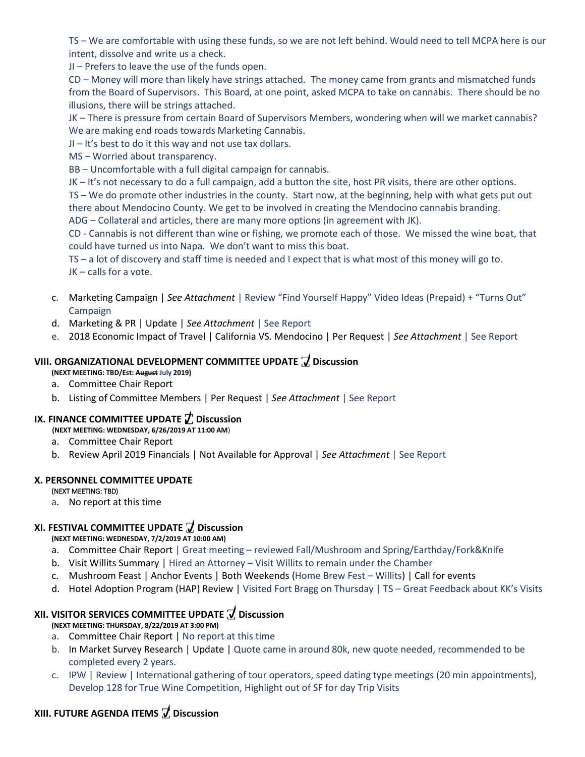TS – We are comfortable with using these funds, so we are not left behind. Would need to tell MCPA here is our intent, dissolve and write us a check.

JI – Prefers to leave the use of the funds open.

CD – Money will more than likely have strings attached. The money came from grants and mismatched funds from the Board of Supervisors. This Board, at one point, asked MCPA to take on cannabis. There should be no illusions, there will be strings attached.

JK – There is pressure from certain Board of Supervisors Members, wondering when will we market cannabis? We are making end roads towards Marketing Cannabis.

- JI It's best to do it this way and not use tax dollars.
- MS Worried about transparency.

BB – Uncomfortable with a full digital campaign for cannabis.

JK – It's not necessary to do a full campaign, add a button the site, host PR visits, there are other options.

TS – We do promote other industries in the county. Start now, at the beginning, help with what gets put out there about Mendocino County. We get to be involved in creating the Mendocino cannabis branding. ADG – Collateral and articles, there are many more options (in agreement with JK).

CD - Cannabis is not different than wine or fishing, we promote each of those. We missed the wine boat, that could have turned us into Napa. We don't want to miss this boat.

TS – a lot of discovery and staff time is needed and I expect that is what most of this money will go to. JK – calls for a vote.

- c. Marketing Campaign | *See Attachment* | Review "Find Yourself Happy" Video Ideas (Prepaid) + "Turns Out" Campaign
- d. Marketing & PR | Update | *See Attachment* | See Report
- e. 2018 Economic Impact of Travel | California VS. Mendocino | Per Request | *See Attachment* | See Report

### **VIII. ORGANIZATIONAL DEVELOPMENT COMMITTEE UPDATE ꙱ Discussion**

**(NEXT MEETING: TBD/Est: August July 2019)** 

- a. Committee Chair Report
- b. Listing of Committee Members | Per Request | *See Attachment* | See Report

### **IX. FINANCE COMMITTEE UPDATE ꙱ Discussion**

**(NEXT MEETING: WEDNESDAY, 6/26/2019 AT 11:00 AM**)

- a. Committee Chair Report
- b. Review April 2019 Financials | Not Available for Approval | *See Attachment* | See Report

#### **X. PERSONNEL COMMITTEE UPDATE**

#### (NEXT MEETING: TBD)

a. No report at this time

### **XI. FESTIVAL COMMITTEE UPDATE ꙱ Discussion**

#### **(NEXT MEETING: WEDNESDAY, 7/2/2019 AT 10:00 AM)**

- a. Committee Chair Report | Great meeting reviewed Fall/Mushroom and Spring/Earthday/Fork&Knife
- b. Visit Willits Summary | Hired an Attorney Visit Willits to remain under the Chamber
- c. Mushroom Feast | Anchor Events | Both Weekends (Home Brew Fest Willits) | Call for events
- d. Hotel Adoption Program (HAP) Review | Visited Fort Bragg on Thursday | TS Great Feedback about KK's Visits

### **XII. VISITOR SERVICES COMMITTEE UPDATE ꙱ Discussion**

**(NEXT MEETING: THURSDAY, 8/22/2019 AT 3:00 PM)** 

- a. Committee Chair Report | No report at this time
- b. In Market Survey Research | Update | Quote came in around 80k, new quote needed, recommended to be completed every 2 years.
- c. IPW | Review | International gathering of tour operators, speed dating type meetings (20 min appointments), Develop 128 for True Wine Competition, Highlight out of SF for day Trip Visits

# **XIII. FUTURE AGENDA ITEMS ꙱ Discussion**